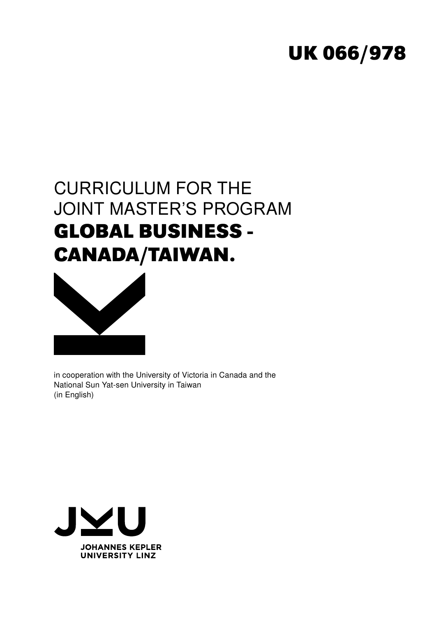# **UK 066/978**

# CURRICULUM FOR THE JOINT MASTER'S PROGRAM **GLOBAL BUSINESS - CANADA/TAIWAN.**



in cooperation with the University of Victoria in Canada and the National Sun Yat-sen University in Taiwan (in English)

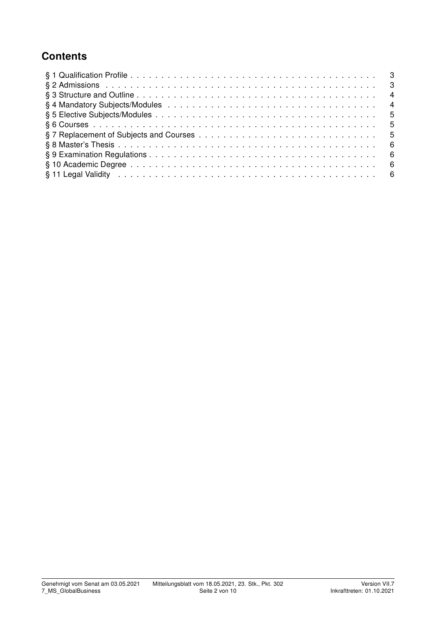## **Contents**

| § 11 Legal Validity in the contract of the contract of the contract of the contract of the contract of the contract of the set of the contract of the contract of the contract of the contract of the contract of the contract |  |
|--------------------------------------------------------------------------------------------------------------------------------------------------------------------------------------------------------------------------------|--|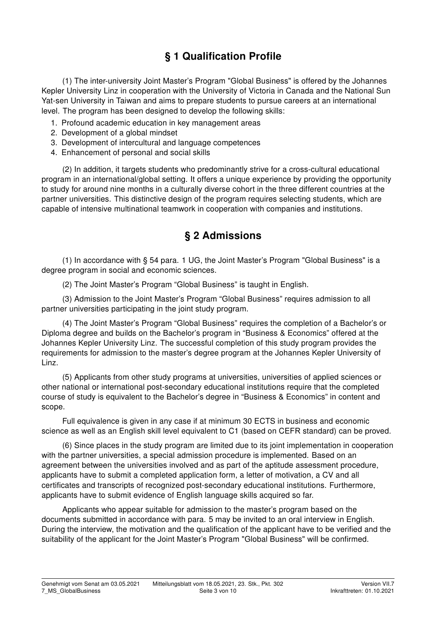## § 1 Qualification Profile

(1) The inter-university Joint Master's Program "Global Business" is offered by the Johannes Kepler University Linz in cooperation with the University of Victoria in Canada and the National Sun Yat-sen University in Taiwan and aims to prepare students to pursue careers at an international level. The program has been designed to develop the following skills:

- 1. Profound academic education in key management areas
- 2. Development of a global mindset
- 3. Development of intercultural and language competences
- 4. Enhancement of personal and social skills

(2) In addition, it targets students who predominantly strive for a cross-cultural educational program in an international/global setting. It offers a unique experience by providing the opportunity to study for around nine months in a culturally diverse cohort in the three different countries at the partner universities. This distinctive design of the program requires selecting students, which are capable of intensive multinational teamwork in cooperation with companies and institutions.

#### § 2 Admissions

(1) In accordance with § 54 para. 1 UG, the Joint Master's Program "Global Business" is a degree program in social and economic sciences.

(2) The Joint Master's Program "Global Business" is taught in English.

(3) Admission to the Joint Master's Program "Global Business" requires admission to all partner universities participating in the joint study program.

(4) The Joint Master's Program "Global Business" requires the completion of a Bachelor's or Diploma degree and builds on the Bachelor's program in "Business & Economics" offered at the Johannes Kepler University Linz. The successful completion of this study program provides the requirements for admission to the master's degree program at the Johannes Kepler University of Linz.

(5) Applicants from other study programs at universities, universities of applied sciences or other national or international post-secondary educational institutions require that the completed course of study is equivalent to the Bachelor's degree in "Business & Economics" in content and scope.

Full equivalence is given in any case if at minimum 30 ECTS in business and economic science as well as an English skill level equivalent to C1 (based on CEFR standard) can be proved.

(6) Since places in the study program are limited due to its joint implementation in cooperation with the partner universities, a special admission procedure is implemented. Based on an agreement between the universities involved and as part of the aptitude assessment procedure, applicants have to submit a completed application form, a letter of motivation, a CV and all certificates and transcripts of recognized post-secondary educational institutions. Furthermore, applicants have to submit evidence of English language skills acquired so far.

Applicants who appear suitable for admission to the master's program based on the documents submitted in accordance with para. 5 may be invited to an oral interview in English. During the interview, the motivation and the qualification of the applicant have to be verified and the suitability of the applicant for the Joint Master's Program "Global Business" will be confirmed.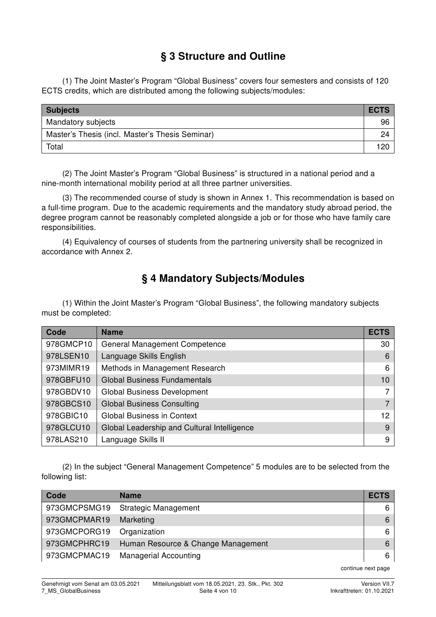## § 3 Structure and Outline

(1) The Joint Master's Program "Global Business" covers four semesters and consists of 120 ECTS credits, which are distributed among the following subjects/modules:

| <b>Subjects</b>                                 | <b>ECTS</b> |
|-------------------------------------------------|-------------|
| Mandatory subjects                              | 96          |
| Master's Thesis (incl. Master's Thesis Seminar) | 24          |
| Total                                           | 120         |

(2) The Joint Master's Program "Global Business" is structured in a national period and a nine-month international mobility period at all three partner universities.

(3) The recommended course of study is shown in Annex 1. This recommendation is based on a full-time program. Due to the academic requirements and the mandatory study abroad period, the degree program cannot be reasonably completed alongside a job or for those who have family care responsibilities.

(4) Equivalency of courses of students from the partnering university shall be recognized in accordance with Annex 2.

## § 4 Mandatory Subjects/Modules

(1) Within the Joint Master's Program "Global Business", the following mandatory subjects must be completed:

| Code      | <b>Name</b>                                 | <b>ECTS</b>       |
|-----------|---------------------------------------------|-------------------|
| 978GMCP10 | <b>General Management Competence</b>        | 30                |
| 978LSEN10 | Language Skills English                     | 6                 |
| 973MIMR19 | Methods in Management Research              | 6                 |
| 978GBFU10 | <b>Global Business Fundamentals</b>         |                   |
| 978GBDV10 | <b>Global Business Development</b>          |                   |
| 978GBCS10 | <b>Global Business Consulting</b>           |                   |
| 978GBIC10 | <b>Global Business in Context</b>           | $12 \overline{ }$ |
| 978GLCU10 | Global Leadership and Cultural Intelligence | 9                 |
| 978LAS210 | Language Skills II                          | 9                 |

(2) In the subject "General Management Competence" 5 modules are to be selected from the following list:

| Code         | <b>Name</b>                        | <b>ECTS</b> |
|--------------|------------------------------------|-------------|
| 973GMCPSMG19 | <b>Strategic Management</b>        | 6           |
| 973GMCPMAR19 | Marketing                          |             |
| 973GMCPORG19 | Organization                       |             |
| 973GMCPHRC19 | Human Resource & Change Management |             |
| 973GMCPMAC19 | <b>Managerial Accounting</b>       | 6           |

continue next page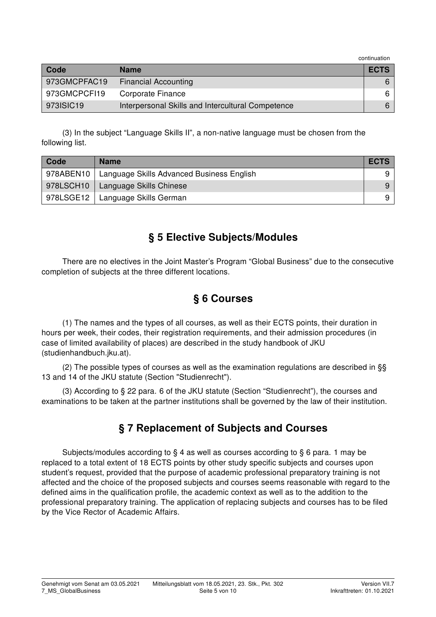continuation

| Code         | <b>Name</b>                                       | <b>ECTS</b> |
|--------------|---------------------------------------------------|-------------|
| 973GMCPFAC19 | <b>Financial Accounting</b>                       |             |
| 973GMCPCFI19 | Corporate Finance                                 |             |
| 973ISIC19    | Interpersonal Skills and Intercultural Competence |             |

(3) In the subject "Language Skills II", a non-native language must be chosen from the following list.

| Code      | <b>Name</b>                               | <b>ECTS</b> |
|-----------|-------------------------------------------|-------------|
| 978ABEN10 | Language Skills Advanced Business English |             |
| 978LSCH10 | Language Skills Chinese                   | 9           |
| 978LSGE12 | Language Skills German                    |             |

### § 5 Elective Subjects/Modules

There are no electives in the Joint Master's Program "Global Business" due to the consecutive completion of subjects at the three different locations.

#### § 6 Courses

(1) The names and the types of all courses, as well as their ECTS points, their duration in hours per week, their codes, their registration requirements, and their admission procedures (in case of limited availability of places) are described in the study handbook of JKU (studienhandbuch.jku.at).

(2) The possible types of courses as well as the examination regulations are described in §§ 13 and 14 of the JKU statute (Section "Studienrecht").

(3) According to § 22 para. 6 of the JKU statute (Section "Studienrecht"), the courses and examinations to be taken at the partner institutions shall be governed by the law of their institution.

### § 7 Replacement of Subjects and Courses

Subjects/modules according to § 4 as well as courses according to § 6 para. 1 may be replaced to a total extent of 18 ECTS points by other study specific subjects and courses upon student's request, provided that the purpose of academic professional preparatory training is not affected and the choice of the proposed subjects and courses seems reasonable with regard to the defined aims in the qualification profile, the academic context as well as to the addition to the professional preparatory training. The application of replacing subjects and courses has to be filed by the Vice Rector of Academic Affairs.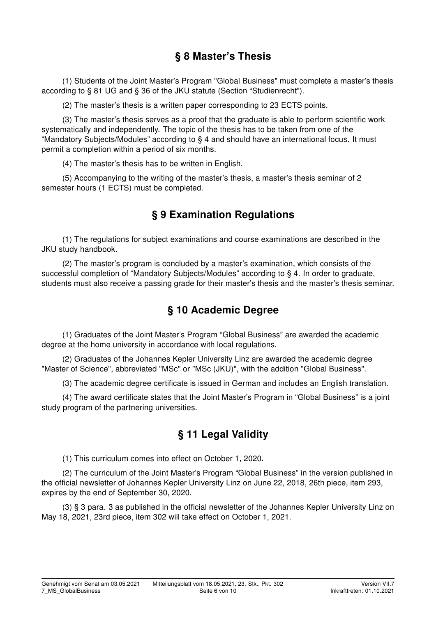### § 8 Master's Thesis

(1) Students of the Joint Master's Program "Global Business" must complete a master's thesis according to § 81 UG and § 36 of the JKU statute (Section "Studienrecht").

(2) The master's thesis is a written paper corresponding to 23 ECTS points.

(3) The master's thesis serves as a proof that the graduate is able to perform scientific work systematically and independently. The topic of the thesis has to be taken from one of the "Mandatory Subjects/Modules" according to § 4 and should have an international focus. It must permit a completion within a period of six months.

(4) The master's thesis has to be written in English.

(5) Accompanying to the writing of the master's thesis, a master's thesis seminar of 2 semester hours (1 ECTS) must be completed.

### § 9 Examination Regulations

(1) The regulations for subject examinations and course examinations are described in the JKU study handbook.

(2) The master's program is concluded by a master's examination, which consists of the successful completion of "Mandatory Subjects/Modules" according to § 4. In order to graduate, students must also receive a passing grade for their master's thesis and the master's thesis seminar.

### § 10 Academic Degree

(1) Graduates of the Joint Master's Program "Global Business" are awarded the academic degree at the home university in accordance with local regulations.

(2) Graduates of the Johannes Kepler University Linz are awarded the academic degree "Master of Science", abbreviated "MSc" or "MSc (JKU)", with the addition "Global Business".

(3) The academic degree certificate is issued in German and includes an English translation.

(4) The award certificate states that the Joint Master's Program in "Global Business" is a joint study program of the partnering universities.

### § 11 Legal Validity

(1) This curriculum comes into effect on October 1, 2020.

(2) The curriculum of the Joint Master's Program "Global Business" in the version published in the official newsletter of Johannes Kepler University Linz on June 22, 2018, 26th piece, item 293, expires by the end of September 30, 2020.

(3) § 3 para. 3 as published in the official newsletter of the Johannes Kepler University Linz on May 18, 2021, 23rd piece, item 302 will take effect on October 1, 2021.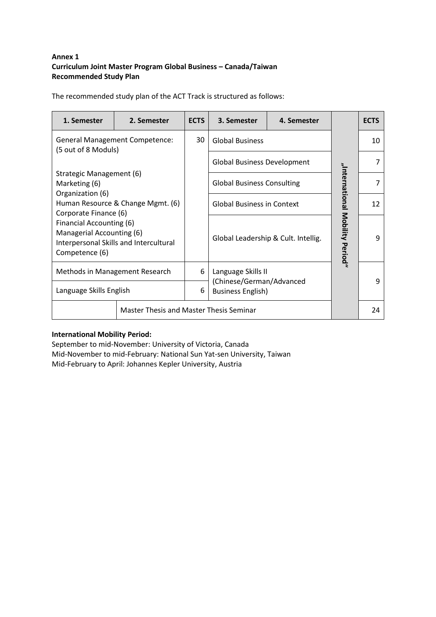#### **Annex 1 Curriculum Joint Master Program Global Business – Canada/Taiwan Recommended Study Plan**

The recommended study plan of the ACT Track is structured as follows:

| 1. Semester                                                                                                                                                                                                                                                             | 2. Semester                                    | <b>ECTS</b> | 3. Semester<br>4. Semester                     |                                 |    | <b>ECTS</b> |
|-------------------------------------------------------------------------------------------------------------------------------------------------------------------------------------------------------------------------------------------------------------------------|------------------------------------------------|-------------|------------------------------------------------|---------------------------------|----|-------------|
| <b>General Management Competence:</b>                                                                                                                                                                                                                                   |                                                | 30          | <b>Global Business</b>                         |                                 |    | 10          |
| (5 out of 8 Moduls)<br>Strategic Management (6)<br>Marketing (6)<br>Organization (6)<br>Human Resource & Change Mgmt. (6)<br>Corporate Finance (6)<br>Financial Accounting (6)<br>Managerial Accounting (6)<br>Interpersonal Skills and Intercultural<br>Competence (6) |                                                |             | <b>Global Business Development</b>             |                                 |    |             |
|                                                                                                                                                                                                                                                                         |                                                |             | <b>Global Business Consulting</b>              |                                 |    |             |
|                                                                                                                                                                                                                                                                         |                                                |             | <b>Global Business in Context</b>              |                                 | 12 |             |
|                                                                                                                                                                                                                                                                         |                                                |             | Global Leadership & Cult. Intellig.            | "International Mobility Period" | q  |             |
| Methods in Management Research                                                                                                                                                                                                                                          |                                                | 6           | Language Skills II<br>(Chinese/German/Advanced |                                 |    | q           |
| Language Skills English                                                                                                                                                                                                                                                 |                                                | 6           | <b>Business English)</b>                       |                                 |    |             |
|                                                                                                                                                                                                                                                                         | <b>Master Thesis and Master Thesis Seminar</b> |             |                                                |                                 | 24 |             |

#### **International Mobility Period:**

September to mid-November: University of Victoria, Canada Mid-November to mid-February: National Sun Yat-sen University, Taiwan Mid-February to April: Johannes Kepler University, Austria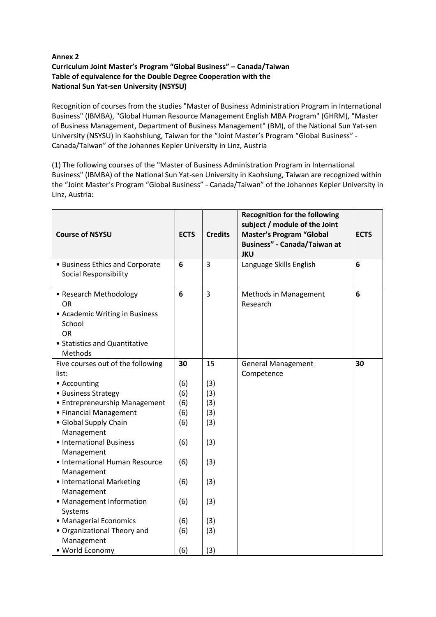#### **Annex 2 Curriculum Joint Master's Program "Global Business" – Canada/Taiwan Table of equivalence for the Double Degree Cooperation with the National Sun Yat-sen University (NSYSU)**

Recognition of courses from the studies "Master of Business Administration Program in International Business" (IBMBA), "Global Human Resource Management English MBA Program" (GHRM), "Master of Business Management, Department of Business Management" (BM), of the National Sun Yat-sen University (NSYSU) in Kaohshiung, Taiwan for the "Joint Master's Program "Global Business" - Canada/Taiwan" of the Johannes Kepler University in Linz, Austria

(1) The following courses of the "Master of Business Administration Program in International Business" (IBMBA) of the National Sun Yat-sen University in Kaohsiung, Taiwan are recognized within the "Joint Master's Program "Global Business" - Canada/Taiwan" of the Johannes Kepler University in Linz, Austria:

| <b>Course of NSYSU</b>                                                                                                            | <b>ECTS</b> | <b>Credits</b> | <b>Recognition for the following</b><br>subject / module of the Joint<br><b>Master's Program "Global</b><br>Business" - Canada/Taiwan at<br><b>JKU</b> | <b>ECTS</b> |
|-----------------------------------------------------------------------------------------------------------------------------------|-------------|----------------|--------------------------------------------------------------------------------------------------------------------------------------------------------|-------------|
| • Business Ethics and Corporate<br><b>Social Responsibility</b>                                                                   | 6           | $\overline{3}$ | Language Skills English                                                                                                                                | 6           |
| • Research Methodology<br>OR<br>• Academic Writing in Business<br>School<br><b>OR</b><br>• Statistics and Quantitative<br>Methods | 6           | $\overline{3}$ | Methods in Management<br>Research                                                                                                                      | 6           |
| Five courses out of the following                                                                                                 | 30          | 15             | <b>General Management</b>                                                                                                                              | 30          |
| list:                                                                                                                             |             |                | Competence                                                                                                                                             |             |
| • Accounting                                                                                                                      | (6)         | (3)            |                                                                                                                                                        |             |
| • Business Strategy                                                                                                               | (6)         | (3)            |                                                                                                                                                        |             |
| • Entrepreneurship Management                                                                                                     | (6)         | (3)            |                                                                                                                                                        |             |
| • Financial Management                                                                                                            | (6)         | (3)            |                                                                                                                                                        |             |
| • Global Supply Chain                                                                                                             | (6)         | (3)            |                                                                                                                                                        |             |
| Management                                                                                                                        |             |                |                                                                                                                                                        |             |
| • International Business<br>Management                                                                                            | (6)         | (3)            |                                                                                                                                                        |             |
| • International Human Resource<br>Management                                                                                      | (6)         | (3)            |                                                                                                                                                        |             |
| • International Marketing                                                                                                         | (6)         | (3)            |                                                                                                                                                        |             |
| Management                                                                                                                        |             |                |                                                                                                                                                        |             |
| • Management Information<br>Systems                                                                                               | (6)         | (3)            |                                                                                                                                                        |             |
| • Managerial Economics                                                                                                            | (6)         | (3)            |                                                                                                                                                        |             |
| • Organizational Theory and                                                                                                       | (6)         | (3)            |                                                                                                                                                        |             |
| Management                                                                                                                        |             |                |                                                                                                                                                        |             |
| • World Economy                                                                                                                   | (6)         | (3)            |                                                                                                                                                        |             |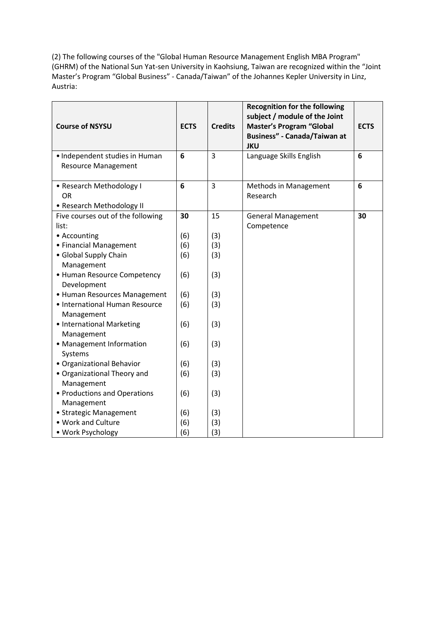(2) The following courses of the "Global Human Resource Management English MBA Program" (GHRM) of the National Sun Yat-sen University in Kaohsiung, Taiwan are recognized within the "Joint Master's Program "Global Business" - Canada/Taiwan" of the Johannes Kepler University in Linz, Austria:

| <b>Course of NSYSU</b>                                       | <b>ECTS</b> | <b>Credits</b> | <b>Recognition for the following</b><br>subject / module of the Joint<br><b>Master's Program "Global</b><br>Business" - Canada/Taiwan at<br><b>JKU</b> | <b>ECTS</b> |
|--------------------------------------------------------------|-------------|----------------|--------------------------------------------------------------------------------------------------------------------------------------------------------|-------------|
| • Independent studies in Human<br><b>Resource Management</b> | 6           | $\overline{3}$ | Language Skills English                                                                                                                                | 6           |
| • Research Methodology I<br><b>OR</b>                        | 6           | $\overline{3}$ | Methods in Management<br>Research                                                                                                                      | 6           |
| • Research Methodology II                                    |             |                |                                                                                                                                                        |             |
| Five courses out of the following<br>list:                   | 30          | 15             | <b>General Management</b><br>Competence                                                                                                                | 30          |
| • Accounting                                                 | (6)         | (3)            |                                                                                                                                                        |             |
| • Financial Management                                       | (6)         | (3)            |                                                                                                                                                        |             |
| • Global Supply Chain<br>Management                          | (6)         | (3)            |                                                                                                                                                        |             |
| • Human Resource Competency<br>Development                   | (6)         | (3)            |                                                                                                                                                        |             |
| • Human Resources Management                                 | (6)         | (3)            |                                                                                                                                                        |             |
| • International Human Resource<br>Management                 | (6)         | (3)            |                                                                                                                                                        |             |
| • International Marketing<br>Management                      | (6)         | (3)            |                                                                                                                                                        |             |
| • Management Information<br>Systems                          | (6)         | (3)            |                                                                                                                                                        |             |
| · Organizational Behavior                                    | (6)         | (3)            |                                                                                                                                                        |             |
| • Organizational Theory and<br>Management                    | (6)         | (3)            |                                                                                                                                                        |             |
| • Productions and Operations<br>Management                   | (6)         | (3)            |                                                                                                                                                        |             |
| • Strategic Management                                       | (6)         | (3)            |                                                                                                                                                        |             |
| • Work and Culture                                           | (6)         | (3)            |                                                                                                                                                        |             |
| • Work Psychology                                            | (6)         | (3)            |                                                                                                                                                        |             |